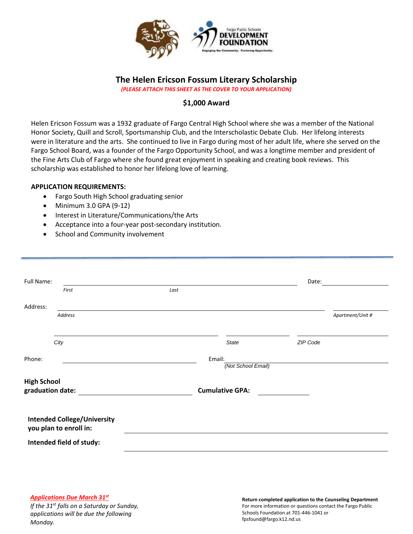

## **The Helen Ericson Fossum Literary Scholarship** *(PLEASE ATTACH THIS SHEET AS THE COVER TO YOUR APPLICATION)*

# **\$1,000 Award**

Helen Ericson Fossum was a 1932 graduate of Fargo Central High School where she was a member of the National Honor Society, Quill and Scroll, Sportsmanship Club, and the Interscholastic Debate Club. Her lifelong interests were in literature and the arts. She continued to live in Fargo during most of her adult life, where she served on the Fargo School Board, was a founder of the Fargo Opportunity School, and was a longtime member and president of the Fine Arts Club of Fargo where she found great enjoyment in speaking and creating book reviews. This scholarship was established to honor her lifelong love of learning.

## **APPLICATION REQUIREMENTS:**

- Fargo South High School graduating senior
- $\bullet$  Minimum 3.0 GPA (9-12)
- Interest in Literature/Communications/the Arts
- Acceptance into a four-year post-secondary institution.
- School and Community involvement

| Full Name:                                                   |                          |      |                              | Date:    |                  |
|--------------------------------------------------------------|--------------------------|------|------------------------------|----------|------------------|
|                                                              | First                    | Last |                              |          |                  |
| Address:                                                     |                          |      |                              |          |                  |
|                                                              | <b>Address</b>           |      |                              |          | Apartment/Unit # |
|                                                              |                          |      |                              |          |                  |
|                                                              | City                     |      | <b>State</b>                 | ZIP Code |                  |
| Phone:                                                       |                          |      | Email:<br>(Not School Email) |          |                  |
| <b>High School</b><br>graduation date:                       |                          |      | <b>Cumulative GPA:</b>       |          |                  |
| <b>Intended College/University</b><br>you plan to enroll in: |                          |      |                              |          |                  |
|                                                              | Intended field of study: |      |                              |          |                  |